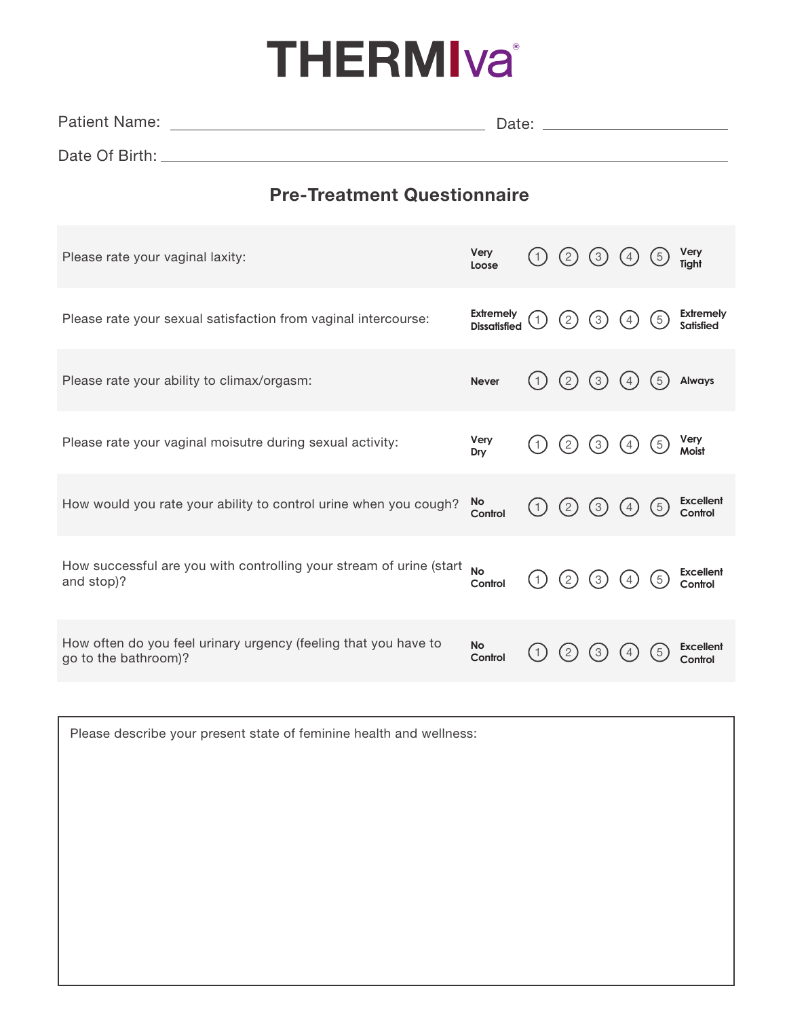## **THERMIva**<sup>®</sup>

| <b>Patient Name:</b> | Date: |  |
|----------------------|-------|--|
| Date Of Birth: _     |       |  |

## Pre-Treatment Questionnaire

| Please rate your vaginal laxity:                                                        | Very<br>Loose                           |     | (2)         | (3)              | (4               | (5)           | Very<br>Tight                 |
|-----------------------------------------------------------------------------------------|-----------------------------------------|-----|-------------|------------------|------------------|---------------|-------------------------------|
| Please rate your sexual satisfaction from vaginal intercourse:                          | <b>Extremely</b><br><b>Dissatisfied</b> |     | $2 \,$      | $\left[3\right]$ | $\left[4\right]$ | (5)           | <b>Extremely</b><br>Satisfied |
| Please rate your ability to climax/orgasm:                                              | <b>Never</b>                            | (1  | (2)         | $\left(3\right)$ | $\frac{4}{3}$    | $\frac{5}{5}$ | Always                        |
| Please rate your vaginal moisutre during sexual activity:                               | Very<br>Dry                             |     | (2)         | $\left(3\right)$ | (4)              | (5)           | Very<br>Moist                 |
| How would you rate your ability to control urine when you cough?                        | No<br>Control                           | (1) | (2)         | $\left(3\right)$ | (4)              | (5)           | <b>Excellent</b><br>Control   |
| How successful are you with controlling your stream of urine (start<br>and stop)?       | <b>No</b><br>Control                    | (1) | (2)         | $\left(3\right)$ | $\left(4\right)$ | (5)           | <b>Excellent</b><br>Control   |
| How often do you feel urinary urgency (feeling that you have to<br>go to the bathroom)? | <b>No</b><br>Control                    |     | $2^{\circ}$ | 3                | 4                | $\frac{5}{5}$ | <b>Excellent</b><br>Control   |

| Please describe your present state of feminine health and wellness: |  |
|---------------------------------------------------------------------|--|
|                                                                     |  |
|                                                                     |  |
|                                                                     |  |
|                                                                     |  |
|                                                                     |  |
|                                                                     |  |
|                                                                     |  |